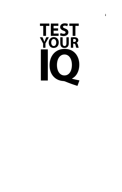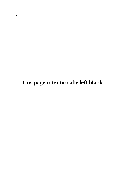This page intentionally left blank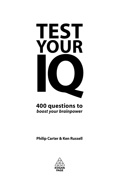

### **400 questions to** *boost your brainpower*

**Philip Carter & Ken Russell**

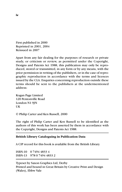First published in 2000 Reprinted in 2001, 2004 Reissued in 2007

Apart from any fair dealing for the purposes of research or private study, or criticism or review, as permitted under the Copyright, Designs and Patents Act 1988, this publication may only be reproduced, stored or transmitted, in any form or by any means, with the prior permission in writing of the publishers, or in the case of reprographic reproduction in accordance with the terms and licences issued by the CLA. Enquiries concerning reproduction outside these terms should be sent to the publishers at the undermentioned address:

Kogan Page Limited 120 Pentonville Road London N1 9JN UK

© Philip Carter and Ken Russell, 2000

The right of Philip Carter and Ken Russell to be identified as the authors of this work has been asserted by them in accordance with the Copyright, Designs and Patents Act 1988.

#### **British Library Cataloguing in Publication Data**

A CIP record for this book is available from the British Library.

ISBN-10 0 7494 4833 4 ISBN-13 978 0 7494 4833 2

Typeset by Saxon Graphics Ltd, Derby Printed and bound in Great Britain by Creative Print and Design (Wales), Ebbw Vale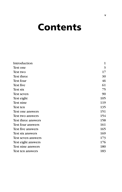# Contents

| Introduction       | 1   |
|--------------------|-----|
| Test one           | 3   |
| Test two           | 17  |
| Test three         | 30  |
| Test four          | 46  |
| Test five          | 61  |
| Test six           | 75  |
| Test seven         | 90  |
| Test eight         | 105 |
| Test nine          | 119 |
| Test ten           | 135 |
| Test one answers   | 151 |
| Test two answers   | 154 |
| Test three answers | 158 |
| Test four answers  | 161 |
| Test five answers  | 165 |
| Test six answers   | 169 |
| Test seven answers | 173 |
| Test eight answers | 176 |
| Test nine answers  | 180 |
| Test ten answers   | 183 |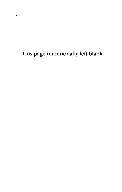This page intentionally left blank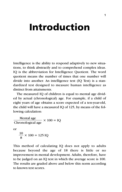# Introduction

Intelligence is the ability to respond adaptively to new situations, to think abstractly and to comprehend complex ideas. IQ is the abbreviation for Intelligence Quotient. The word quotient means the number of times that one number will divide into another. An intelligence test (IQ Test) is a standardized test designed to measure human intelligence as distinct from attainments.

The measured IQ of children is equal to mental age divided by actual (chronological) age. For example, if a child of eight years of age obtains a score expected of a ten-year-old, the child will have a measured IQ of 125, by means of the following calculation:

 $mental age  
Chronological age × 100 = IQ$ </u> or  $\frac{1}{\sqrt{2}}$ 8  $\frac{0}{2} \times 100 = 125$  IQ Chronological age

This method of calculating IQ does not apply to adults because beyond the age of 18 there is little or no improvement in mental development. Adults, therefore, have to be judged on an IQ test in which the average score is 100. The results are graded above and below this norm according to known test scores.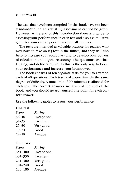The tests that have been compiled for this book have not been standardized, so an actual IQ assessment cannot be given. However, at the end of this Introduction there is a guide to assessing your performance in each test and also a cumulative guide for your overall performance on all ten tests.

The tests are intended as valuable practice for readers who may have to take an IQ test in the future, and they will also help to increase your vocabulary and to develop your powers of calculation and logical reasoning. The questions are challenging, and deliberately so, as this is the only way to boost your performance and increase your brainpower.

The book consists of ten separate tests for you to attempt, each of 40 questions. Each test is of approximately the same degree of difficulty. A time limit of **90 minutes** is allowed for each test. The correct answers are given at the end of the book, and you should award yourself one point for each correct answer.

Use the following tables to assess your performance:

#### **One test**

| Score     | Rating      |
|-----------|-------------|
| $36 - 40$ | Exceptional |
| $31 - 35$ | Excellent   |
| $25 - 30$ | Very good   |
| $19 - 24$ | Good        |
| $14 - 18$ | Average     |
|           |             |

#### **Ten tests**

| Score   | Rating      |
|---------|-------------|
| 351–400 | Exceptional |
| 301-350 | Excellent   |
| 241-300 | Very good   |
| 181-240 | Good        |
| 140-180 | Average     |
|         |             |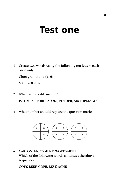### Test one

1 Create two words using the following ten letters each once only.

Clue: grand tune (4, 6)

**MYSEVODLTA** 

- 2 Which is the odd one out? ISTHMUS, FJORD, ATOLL, POLDER, ARCHIPELAGO
- 3 What number should replace the question mark?



4 CARTON, ENJOYMENT, WORDSMITH Which of the following words continues the above sequence?

COPY, REEF, COPE, REST, ACHE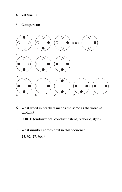#### **4 Test Your IQ**

#### 5 Comparison



6 What word in brackets means the same as the word in capitals?

FORTE (endowment, conduct, talent, redoubt, style)

7 What number comes next in this sequence? 25, 32, 27, 36, ?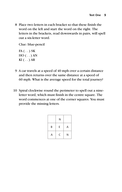8 Place two letters in each bracket so that these finish the word on the left and start the word on the right. The letters in the brackets, read downwards in pairs, will spell out a six-letter word.

Clue: blue-pencil

 $FA(..) SK$  $HO($ ..) AN  $KI$   $( \ldots ) AR$ 

- 9 A car travels at a speed of 40 mph over a certain distance and then returns over the same distance at a speed of 60 mph. What is the average speed for the total journey?
- 10 Spiral clockwise round the perimeter to spell out a nineletter word, which must finish in the centre square. The word commences at one of the corner squares. You must provide the missing letters.

|   | N |   |
|---|---|---|
| B | E | Α |
| A | C | N |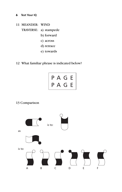11 MEANDER: WIND TRAVERSE: a) stampede b) forward

- c) across
- d) retrace
- e) towards
- 12 What familiar phrase is indicated below?



#### 13 Comparison

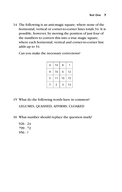14 The following is an anti-magic square, where none of the horizontal, vertical or corner-to-corner lines totals 34. It is possible, however, by moving the position of just four of the numbers to convert this into a true magic square, where each horizontal, vertical and corner-to-corner line adds up to 34.

Can you make the necessary corrections?

| 4 | 14 | 8  |    |
|---|----|----|----|
| 9 | 16 | 6  | 12 |
| 5 | 11 | 10 | 15 |
|   | 2  | 3  | 13 |

- 15 What do the following words have in common? LEGUMES, QUASHED, AFFIRMS, CLOAKED
- 16 What number should replace the question mark?
	- 926 : 24 799 : 72  $956:$ ?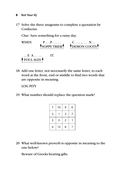17 Solve the three anagrams to complete a quotation by Confucius.

Clue: Save something for a rainy day.

WHEN  $P \dots P \dots Q \dots Q \dots Q \dots Q \dots Q \dots P$  $\blacklozenge$ SOPPY TRIER $\blacklozenge$ . . E A . . . . IT. **A** FOUL ALES

18 Add one letter, not necessarily the same letter, to each word at the front, end or middle to find two words that are opposite in meaning.

LOG PITY

19 What number should replace the question mark?

| 7 | 10 | 9 | 6 |
|---|----|---|---|
| 5 |    | 3 | 7 |
| 2 | 3  | 2 |   |
| 4 | 12 | 8 | 7 |

20 What well-known proverb is opposite in meaning to the one below?

Beware of Greeks bearing gifts.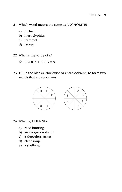- 21 Which word means the same as ANCHORITE?
	- a) recluse
	- b) hieroglyphics
	- c) trammel
	- d) lackey
- 22 What is the value of x?

 $64 - 12 \times 2 + 6 \div 3 = x$ 

23 Fill in the blanks, clockwise or anti-clockwise, to form two words that are synonyms.



- 24 What is JULIENNE?
	- a) reed bunting
	- b) an evergreen shrub
	- c) a sleeveless jacket
	- d) clear soup
	- e) a skull-cap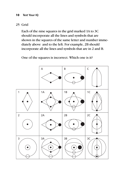#### **10 Test Your IQ**

#### 25 Grid

Each of the nine squares in the grid marked 1A to 3C should incorporate all the lines and symbols that are shown in the squares of the same letter and number immediately above and to the left. For example, 2B should incorporate all the lines and symbols that are in 2 and B.

One of the squares is incorrect. Which one is it?

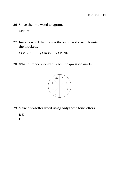26 Solve the one-word anagram.

APE COLT

27 Insert a word that means the same as the words outside the brackets.

COOK (. . . . . ) CROSS EXAMINE

28 What number should replace the question mark?



- 29 Make a six-letter word using only these four letters:
	- R E
	- F L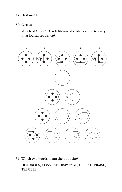#### **12 Test Your IQ**

#### 30 Circles

Which of A, B, C, D or E fits into the blank circle to carry on a logical sequence?



31 Which two words mean the opposite?

DOLOROUS, CONVENE, DISPARAGE, OFFEND, PRAISE, TREMBLE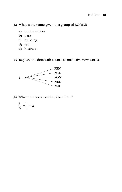32 What is the name given to a group of ROOKS?

- a) murmuration
- b) park
- c) building
- d) set
- e) business

#### 33 Replace the dots with a word to make five new words.



34 What number should replace the x ?

$$
\frac{5}{6} \div \frac{1}{7} = x
$$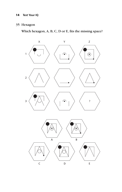#### 35 Hexagon

Which hexagon, A, B, C, D or E, fits the missing space?

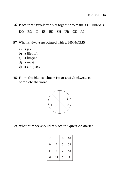- 36 Place three two-letter bits together to make a CURRENCY. DO – RO – LI – ES – EK – SH – UB – CU – AL
- 37 What is always associated with a BINNACLE?
	- a) a jib
	- b) a life raft
	- c) a limpet
	- d) a mast
	- e) a compass
- 38 Fill in the blanks, clockwise or anti-clockwise, to complete the word.



39 What number should replace the question mark ?

| 7  | 8  | 8 | 48 |
|----|----|---|----|
| 9  | 7  | 5 | 58 |
| 11 | 5  |   | 48 |
| 6  | 12 | 5 | 7  |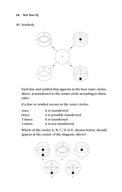#### 40 Symbols



Each line and symbol that appears in the four outer circles, above, is transferred to the centre circle according to these rules:

if a line or symbol occurs in the outer circles:

| once:    | it is transferred          |
|----------|----------------------------|
| twice:   | it is possibly transferred |
| 3 times: | it is transferred          |
| 4 times: | it is not transferred.     |

Which of the circles A, B, C, D or E, shown below, should appear at the centre of the diagram, above?

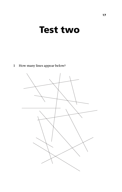### Test two

1 How many lines appear below?

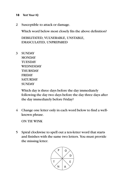#### **18 Test Your IQ**

2 Susceptible to attack or damage.

Which word below most closely fits the above definition?

DEBILITATED, VULNERABLE, UNSTABLE, EMASCULATED, UNPREPARED

3 SUNDAY **MONDAY TUESDAY WEDNESDAY THURSDAY** FRIDAY **SATURDAY SUNDAY** 

> Which day is three days before the day immediately following the day two days before the day three days after the day immediately before Friday?

4 Change one letter only in each word below to find a wellknown phrase.

ON TIE WINK

5 Spiral clockwise to spell out a ten-letter word that starts and finishes with the same two letters. You must provide the missing letter.

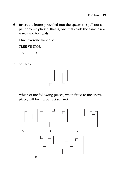6 Insert the letters provided into the spaces to spell out a palindromic phrase, that is, one that reads the same backwards and forwards.

Clue: exercise franchise

TREE VISITOR

 $\ldots$  S .  $\ldots$  . O . . . . .

7 Squares



Which of the following pieces, when fitted to the above piece, will form a perfect square?

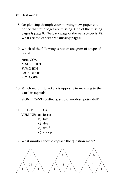- **20 Test Your IQ**
	- 8 On glancing through your morning newspaper you notice that four pages are missing. One of the missing pages is page 8. The back page of the newspaper is 28. What are the other three missing pages?
	- 9 Which of the following is not an anagram of a type of book?

NEIL COX ASSURE HUT SUMO BIN SACK OBOE ROY COKE

10 Which word in brackets is opposite in meaning to the word in capitals?

SIGNIFICANT (ordinary, stupid, modest, petty, dull)

- 11 FELINE: CAT
	- VULPINE: a) ferret
		- b) fox
		- c) deer
		- d) wolf
		- e) sheep
- 12 What number should replace the question mark?

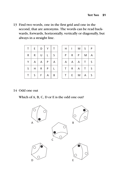13 Find two words, one in the first grid and one in the second, that are antonyms. The words can be read backwards, forwards, horizontally, vertically or diagonally, but always in a straight line.

| Τ | E | D            | Y            | T | Η | L | N |
|---|---|--------------|--------------|---|---|---|---|
| R | R | U            | $\mathbf{L}$ | S | P | R | P |
| Y | Α | Α            | P            | Α | A | Α | А |
| S | Н | $\mathsf{R}$ | $\mathsf{P}$ |   |   | R | A |
| T | S | $\mathsf F$  | Α            | B | T | E | N |

| D | Υ |         | Η |   | M | S | P |
|---|---|---------|---|---|---|---|---|
| U |   | $\sf S$ | P | R | P | M | Α |
| A | P | Α       | Α | A | Α |   | S |
| R | P |         | Τ | R | Α | Τ | S |
| F | Α | B       | Т | Ε | M | Α | S |

#### 14 Odd one out

Which of A, B, C, D or E is the odd one out?

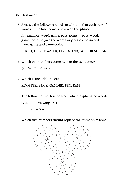- **Test Your IQ**
- 15 Arrange the following words in a line so that each pair of words in the line forms a new word or phrase:

for example: word, game, pass, point = pass, word, game, point to give the words or phrases, password, word game and game-point.

SHORT, GROUP, WATER, LINE, STORY, AGE, FRESH, FALL

- 16 Which two numbers come next in this sequence? 38, 24, 62, 12, 74, ?
- 17 Which is the odd one out? ROOSTER, BUCK, GANDER, PEN, RAM
- 18 The following is extracted from which hyphenated word?

Clue: viewing area

 $\ldots$  R E – G A  $\ldots$  .

19 Which two numbers should replace the question marks?

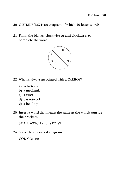- 20 OUTLINE TAX is an anagram of which 10-letter word?
- 21 Fill in the blanks, clockwise or anti-clockwise, to complete the word.



- 22 What is always associated with a CARBOY?
	- a) velveteen
	- b) a mechanic
	- c) a valet
	- d) basketwork
	- e) a bell boy
- 23 Insert a word that means the same as the words outside the brackets.

SMALL WATCH  $( \ldots )$  FOIST

24 Solve the one-word anagram.

COD COILER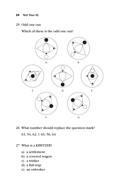#### 25 Odd one out

Which of these is the odd one out?



26 What number should replace the question mark?

61, 54, 62, ?, 63, 56, 64

#### 27 What is a KIBITZER?

- a) a settlement
- b) a covered wagon
- c) a trinket
- d) a fish trap
- e) an onlooker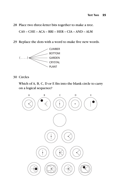28 Place two three-letter bits together to make a tree. CAS – CHE – ACA – RRI – HER – CIA – AND – ALM

29 Replace the dots with a word to make five new words.



30 Circles

Which of A, B, C, D or E fits into the blank circle to carry on a logical sequence?

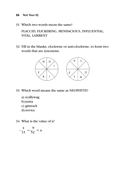#### **26 Test Your IQ**

31 Which two words mean the same?

FLACCID, FLICKERING, MENDACIOUS, INFLUENTIAL, VITAL, LAMBENT

32 Fill in the blanks, clockwise or anti-clockwise, to form two words that are synonyms.



- 33 Which word means the same as NEOPHYTE?
	- a) scallywag
	- b) junta
	- c) gimrack
	- d) novice
- 34 What is the value of x?

$$
-\frac{4}{13} \div \frac{9}{52} = x
$$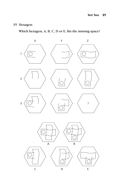#### 35 Hexagon

Which hexagon, A, B, C, D or E, fits the missing space?

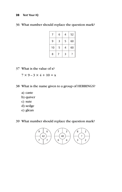#### **Test Your IQ**

|  | 36 What number should replace the question mark? |  |  |  |  |  |
|--|--------------------------------------------------|--|--|--|--|--|
|--|--------------------------------------------------|--|--|--|--|--|

| 7  | 6 | 4 | 52 |
|----|---|---|----|
| 9  | 3 | 5 | 60 |
| 10 | 5 | 4 | 60 |
| 8  | 7 | 3 | 7  |

37 What is the value of x?

 $7 \times 9 - 3 \times 4 + 10 = x$ 

- 38 What is the name given to a group of HERRINGS?
	- a) caste
	- b) quiver
	- c) sute
	- d) sedge
	- e) glean

39 What number should replace the question mark?

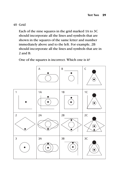#### 40 Grid

Each of the nine squares in the grid marked 1A to 3C should incorporate all the lines and symbols that are shown in the squares of the same letter and number immediately above and to the left. For example, 2B should incorporate all the lines and symbols that are in 2 and B.

One of the squares is incorrect. Which one is it?

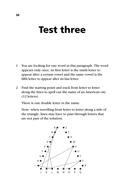## Test three

- 1 You are looking for one word in this paragraph. The word appears only once, its first letter is the ninth letter to appear after a certain vowel and the same vowel is the fifth letter to appear after its last letter.
- 2 Find the starting point and track from letter to letter along the lines to spell out the name of an American city (12 letters).

There is one double letter in the name.

Note: when travelling from letter to letter along a side of the triangle, lines may have to pass through letters that are not part of the solution.

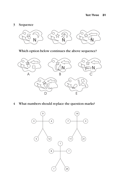3 Sequence



## Which option below continues the above sequence?



4 What numbers should replace the question marks?

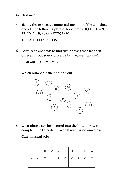- **32 Test Your IQ**
- 5 Taking the respective numerical position of the alphabet, decode the following phrase, for example IQ TEST =  $9$ , 17, 20, 5, 19, 20 or 9172051920.

1211241211471925145

6 Solve each anagram to find two phrases that are spelt differently but sound alike, as in: 'a name', 'an aim'.

SEMI ARC CRIME ACE

7 Which number is the odd one out?



8 What phrase can be inserted into the bottom row to complete the three-letter words reading downwards? Clue: musical solo

> A G H U D I L E P A F A H O P E M A W A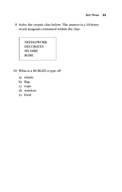9 Solve the cryptic clue below. The answer is a 10-letter word anagram contained within the clue.

> **NEEDLEWORK DECORATES** MY DIRE ROBE

- 10 What is a BURGEE a type of?
	- a) elastic
	- b) flag
	- c) rope
	- d) window
	- e) food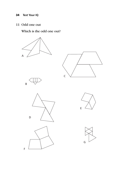11 Odd one out

Which is the odd one out?

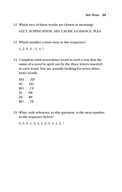- 12 Which two of these words are closest in meaning? GLUT, SUPPLICATION, AID, CACHE, GUIDANCE, PLEA
- 13 Which number comes next in this sequence?

 $1, 2, 0, 3, -1, 4, ?$ 

14 Complete each seven-letter word in such a way that the name of a novel is spelt out by the three letters inserted in each word. You are actually looking for seven threeletter words.

 $HO \ldots AD$  $SC \ldots ED$ RO . . . CE  $SL \ldots ER$  $DI \dots RY$ RO . . . TE

15 What, with reference to this question, is the next number in the sequence below?

3, 3, 5, 1, 3, 4, 1, 2, 3, 4, 1, 2, ?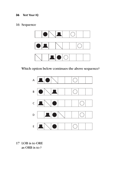# 16 Sequence



# Which option below continues the above sequence?



<sup>17</sup> LOB is to ORE as ORB is to ?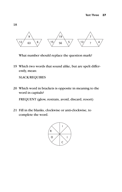

What number should replace the question mark?

19 Which two words that sound alike, but are spelt differently, mean:

SLACK/REQUIRES

20 Which word in brackets is opposite in meaning to the word in capitals?

FREQUENT (glow, restrain, avoid, discard, resort)

21 Fill in the blanks, clockwise or anti-clockwise, to complete the word.

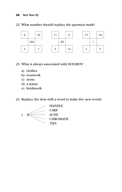## **38 Test Your IQ**

### 22 What number should replace the question mark?



23 What is always associated with DOLMEN?

- a) clothes
- b) ironwork
- c) stone
- d) a statue
- e) brickwork
- 24 Replace the dots with a word to make five new words.

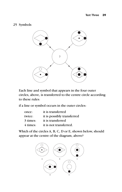### 25 Symbols



Each line and symbol that appears in the four outer circles, above, is transferred to the centre circle according to these rules:

if a line or symbol occurs in the outer circles:

| it is transferred          |
|----------------------------|
| it is possibly transferred |
| it is transferred          |
| it is not transferred.     |
|                            |

Which of the circles A, B, C, D or E, shown below, should appear at the centre of the diagram, above?

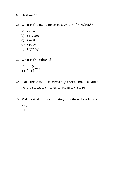26 What is the name given to a group of FINCHES?

- a) a charm
- b) a cluster
- c) a nest
- d) a pace
- e) a spring
- 27 What is the value of x?

$$
\frac{5}{11} \div \frac{15}{44} = x
$$

28 Place three two-letter bits together to make a BIRD.

 $CA - NA - AN - GP - GE - IE - RI - MA - PI$ 

- 29 Make a six-letter word using only these four letters.
	- Z G F I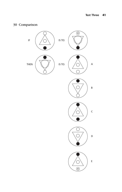# 30 Comparison

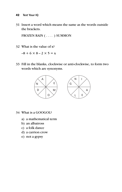- **42 Test Your IQ**
- 31 Insert a word which means the same as the words outside the brackets.

FROZEN RAIN ( . . . . ) SUMMON

32 What is the value of x?

 $-8 + 6 \times 8 - 2 \times 5 = x$ 

33 Fill in the blanks, clockwise or anti-clockwise, to form two words which are synonyms.



- 34 What is a GOOGOL?
	- a) a mathematical term
	- b) an albatross
	- c) a folk dance
	- d) a carrion crow
	- e) not a gypsy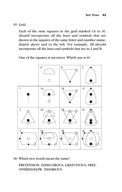## 35 Grid

Each of the nine squares in the grid marked 1A to 3C should incorporate all the lines and symbols that are shown in the squares of the same letter and number immediately above and to the left. For example, 2B should incorporate all the lines and symbols that are in 2 and B.

One of the squares is incorrect. Which one is it?



## 36 Which two words mean the same?

PRETENSION, INDECOROUS, GRATUITOUS, FREE, OVERSHADOW, NEFARIOUS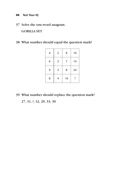37 Solve the one-word anagram.

GORILLA SET

38 What number should equal the question mark?

| 4 | 2 | 8  | 16 |
|---|---|----|----|
| 6 | 3 | 7  | 14 |
| 9 | 3 | 8  | 24 |
| 8 | 4 | 16 | ?  |

39 What number should replace the question mark?

27, 31, ?, 32, 29, 33, 30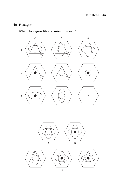# 40 Hexagon

Which hexagon fits the missing space?





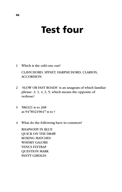# Test four

- 1 Which is the odd one out? CLAVICHORD, SPINET, HARPSICHORD, CLARION, **ACCORDION**
- 2 'SLOW OR FAST ROADS' is an anagram of which familiar phrase: 2, 1, 4, 3, 5, which means the opposite of verbose?
- 3 586321 is to 268 as 94783219647 is to ?
- 4 What do the following have in common?

RHAPSODY IN BLUE QUICK ON THE DRAW BOXING MATCHES WHISKY GALORE VENUS FLYTRAP QUESTION MARK PANTY GIRDLES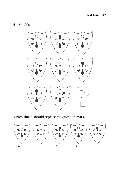# 5 Shields



Which shield should replace the question mark?

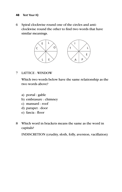6 Spiral clockwise round one of the circles and anticlockwise round the other to find two words that have similar meanings.



7 LATTICE : WINDOW

Which two words below have the same relationship as the two words above?

- a) portal : gable
- b) embrasure : chimney
- c) mansard : roof
- d) parapet : door
- e) fascia : floor
- 8 Which word in brackets means the same as the word in capitals?

INDISCRETION (crudity, sloth, folly, aversion, vacillation)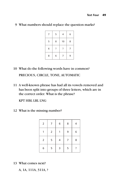| 7 | 5 | 4  | 6 |
|---|---|----|---|
| 5 | 8 | 10 | 8 |
| 6 | ? | ?  | 7 |
| 8 | 6 | 7  | 9 |

## 9 What numbers should replace the question marks?

- 10 What do the following words have in common? PRECIOUS, CIRCLE, TONE, AUTOMATIC
- 11 A well-known phrase has had all its vowels removed and has been split into groups of three letters, which are in the correct order. What is the phrase?

KPT HBL LRL LNG

12 What is the missing number?

| $\overline{2}$ | 7              | 6 | 8 | 4 |
|----------------|----------------|---|---|---|
|                | $\mathsf 2$    |   | 9 | 6 |
| $\overline{2}$ | $\overline{5}$ | 4 | 7 | 8 |
| 6              | $\sqrt{5}$     | 3 | 5 | ? |

13 What comes next?

A, 1A, 111A, 311A, ?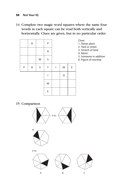14 Complete two magic word squares where the same four words in each square can be read both vertically and horizontally. Clues are given, but in no particular order.

|   | A                       |         | P                         |   |              |   |
|---|-------------------------|---------|---------------------------|---|--------------|---|
|   |                         |         | $\boldsymbol{\mathsf{A}}$ |   |              |   |
|   |                         | W       | $\mathsf{S}$              |   |              |   |
| P | $\overline{\mathsf{A}}$ | $\sf S$ | $\mathsf T$               | I | $\mathsf{M}$ | E |
|   |                         |         | Ī                         |   | $\circ$      |   |
|   |                         |         | $\overline{\mathsf{M}}$   |   |              |   |
|   |                         |         | E                         |   |              |   |

Clues:

- 1. Dense plant
- 2. Yard or street
- 3. Stretch of land
- 4. Moist
- 5. Someone in addition
- 6. Figure of worship

## 15 Comparison

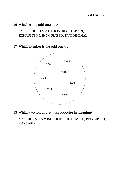16 Which is the odd one out?

SALIFEROUS, EVACUATION, REGULATION, EXHAUSTION, INOCULATED, DUODECIMAL

## 17 Which number is the odd one out?



18 Which two words are most opposite in meaning?

MALICIOUS, KNAVISH, HOPEFUL, SERVILE, PRINCIPLED, AWKWARD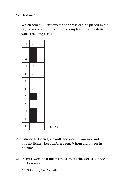19 Which other 12-letter weather phrase can be placed in the right-hand column in order to complete the three-letter words reading across?

| H | A              |     |
|---|----------------|-----|
| I |                |     |
| G |                |     |
| H | E              |     |
| P | A              |     |
| R | U              |     |
| E | $\overline{A}$ |     |
| S |                |     |
| S | I              |     |
| U |                |     |
| R |                |     |
| E | L              | (7, |

20 I strode to Dorset, ate milk and rice in Limerick and bought Edna a beer in Aberdeen. Whom did I meet in Antrim?

 $5)$ 

21 Insert a word that means the same as the words outside the brackets.

SKIN  $(\ldots)$  CONCEAL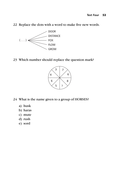22 Replace the dots with a word to make five new words.



23 Which number should replace the question mark?



- 24 What is the name given to a group of HORSES?
	- a) husk
	- b) haras
	- c) mute
	- d) rush
	- e) sord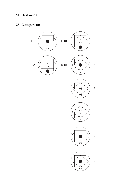# 25 Comparison

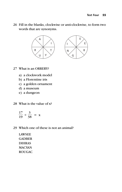26 Fill in the blanks, clockwise or anti-clockwise, to form two words that are synonyms.



- 27 What is an ORRERY?
	- a) a clockwork model
	- b) a Florentine iris
	- c) a golden ornament
	- d) a museum
	- e) a dungeon
- 28 What is the value of x?

$$
\frac{17}{19} \div \frac{3}{38} = x
$$

29 Which one of these is not an animal?

LAWSEE **GADBER** DIHRAS MACYAN ROUGAC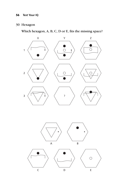## 30 Hexagon

Which hexagon, A, B, C, D or E, fits the missing space?



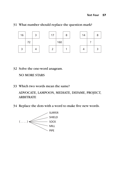# 16 | 3 | 17 | 8 | 14 3 4 2 1 4 72 160 ? 3 | | 17 | | 8 | | 14 | | 8 4 | 2 | 1 | 4 | 3

## 31 What number should replace the question mark?

32 Solve the one-word anagram.

NO MORE STARS

33 Which two words mean the same?

ADVOCATE, LAMPOON, MEDIATE, DEFAME, PROJECT, ARBITRATE

34 Replace the dots with a word to make five new words.

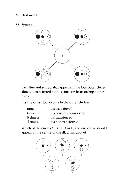## 35 Symbols



Each line and symbol that appears in the four outer circles, above, is transferred to the centre circle according to these rules:

if a line or symbol occurs in the outer circles:

| once:    | it is transferred          |
|----------|----------------------------|
| twice:   | it is possibly transferred |
| 3 times: | it is transferred          |
| 4 times: | it is not transferred      |

Which of the circles A, B, C, D or E, shown below, should appear at the centre of the diagram, above?

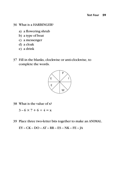- 36 What is a HARBINGER?
	- a) a flowering shrub
	- b) a type of boat
	- c) a messenger
	- d) a cloak
	- e) a drink
- 37 Fill in the blanks, clockwise or anti-clockwise, to complete the words.



38 What is the value of x?

 $3 - 6 \times 7 + 6 \div 4 = x$ 

39 Place three two-letter bits together to make an ANIMAL.  $EY - CK - DO - AT - RR - ES - NK - FE - JA$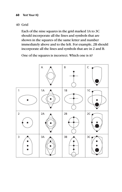## 40 Grid

Each of the nine squares in the grid marked 1A to 3C should incorporate all the lines and symbols that are shown in the squares of the same letter and number immediately above and to the left. For example, 2B should incorporate all the lines and symbols that are in 2 and B.

One of the squares is incorrect. Which one is it?

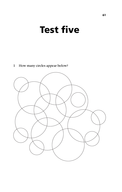# Test five

# 1 How many circles appear below?

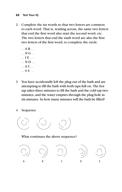#### **62 Test Your IQ**

- 2 Complete the six words so that two letters are common to each word. That is, reading across, the same two letters that end the first word also start the second word, etc. The two letters that end the sixth word are also the first two letters of the first word, to complete the circle.
	- $A B$  $\ldots$  N G  $\ldots$  $I.E.$ .
	- $\ldots$  N D  $\ldots$
	- $A C$ .
	- . . S S . .
- 3 You have accidentally left the plug out of the bath and are attempting to fill the bath with both taps full on. The hot tap takes three minutes to fill the bath and the cold tap two minutes, and the water empties through the plug hole in six minutes. In how many minutes will the bath be filled?
- 4 Sequence



What continues the above sequence?

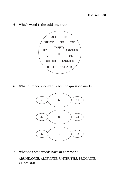## 5 Which word is the odd one out?



## 6 What number should replace the question mark?



7 What do these words have in common? ABUNDANCE, ALLEVIATE, UNTRUTHS, PROCAINE, **CHAMBER**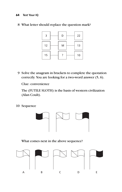## **64 Test Your IQ**



## 8 What letter should replace the question mark?

9 Solve the anagram in brackets to complete the quotation correctly. You are looking for a two-word answer (5, 6).

Clue: convenience

The (FUTILE SLOTH) is the basis of western civilization (Alan Coult).

10 Sequence



What comes next in the above sequence?

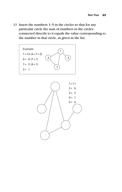11 Insert the numbers 1–5 in the circles so that for any particular circle the sum of numbers in the circles connected directly to it equals the value corresponding to the number in that circle, as given in the list.



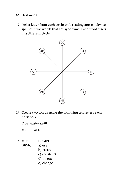12 Pick a letter from each circle and, reading anti-clockwise, spell out two words that are synonyms. Each word starts in a different circle.



13 Create two words using the following ten letters each once only:

Clue: easier tariff

**MXERPLAITS** 

14 MUSIC: COMPOSE

DEVICE: a) use

- b) create
- c) construct
- d) invent
- e) change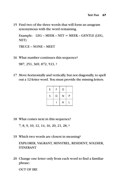15 Find two of the three words that will form an anagram synonymous with the word remaining.

Example: LEG – MEEK – NET = MEEK – GENTLE (LEG, NET)

TRUCE – NONE – MEET

16 What number continues this sequence?

987, 251, 369, 872, 513, ?

17 Move horizontally and vertically, but not diagonally, to spell out a 12-letter word. You must provide the missing letters.

| E | F | Ο |   |
|---|---|---|---|
| S | Ο | N | P |
|   |   | Α | L |

18 What comes next in this sequence?

7, 8, 9, 10, 12, 14, 16, 20, 21, 28, ?

- 19 Which two words are closest in meaning? EXPLORER, VAGRANT, MINSTREL, RESIDENT, SOLDIER, ITINERANT
- 20 Change one letter only from each word to find a familiar phrase:

OUT OF IRE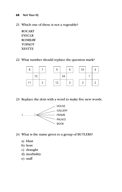21 Which one of these is not a vegetable?

ROCART EYECLR ROMRAW TOPAOT XESTTE

#### 22 What number should replace the question mark?



23 Replace the dots with a word to make five new words.



24 What is the name given to a group of BUTLERS?

- a) blast
- b) host
- c) draught
- d) morbidity
- e) staff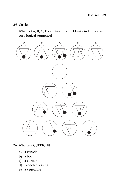#### 25 Circles

Which of A, B, C, D or E fits into the blank circle to carry on a logical sequence?



### 26 What is a CURRICLE?

- a) a vehicle
- b) a boat
- c) a curtain
- d) French dressing
- e) a vegetable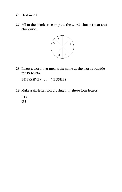27 Fill in the blanks to complete the word, clockwise or anticlockwise.



28 Insert a word that means the same as the words outside the brackets.

BE EVASIVE ( . . . . . ) BUSHES

- 29 Make a six-letter word using only these four letters.
	- L O G I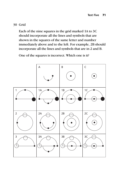#### 30 Grid

Each of the nine squares in the grid marked 1A to 3C should incorporate all the lines and symbols that are shown in the squares of the same letter and number immediately above and to the left. For example, 2B should incorporate all the lines and symbols that are in 2 and B.

One of the squares is incorrect. Which one is it?

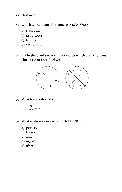- **72 Test Your IQ**
- 31 Which word means the same as NEGATORY?
	- a) fallacious
	- b) prodigious
	- c) trifling
	- d) restraining
- 32 Fill in the blanks to form two words which are synonyms, clockwise or anti-clockwise.



33 What is the value of x?

$$
-\frac{7}{9} \div \frac{5}{27} = x
$$

- 34 What is always associated with FAIENCE?
	- a) pottery
	- b) fairies
	- c) zinc
	- d) ingots
	- e) ghosts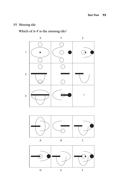# 35 Missing tile

# Which of A–F is the missing tile?





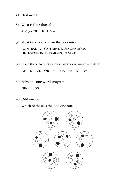- 36 What is the value of x?  $4 \times 3 - 70 \div 10 + 6 = x$
- 37 What two words mean the opposite? CONTRADICT, CALUMNY, DISINGENUOUS, DETESTATION, INFAMOUS, CANDID
- 38 Place three two-letter bits together to make a PLANT. CH – LL – CL – OR – BR – MA – ER – IC – OV
- 39 Solve the one-word anagram. NINE PUGS
- 40 Odd one out

Which of these is the odd one out?

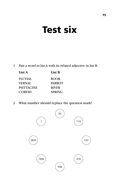# Test six

1 Pair a word in list A with its related adjective in list B.

| List B        |
|---------------|
| <b>ROOK</b>   |
| <b>PARROT</b> |
| <b>RIVER</b>  |
| <b>SPRING</b> |
|               |

2 What number should replace the question mark?

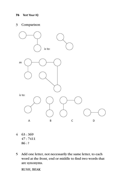#### 3 Comparison



- 4 63 : 369 47 : 7411  $86:?$
- 5 Add one letter, not necessarily the same letter, to each word at the front, end or middle to find two words that are synonyms.

RUSH, BEAK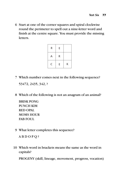6 Start at one of the corner squares and spiral clockwise round the perimeter to spell out a nine-letter word and finish at the centre square. You must provide the missing letters.

| R | E |   |
|---|---|---|
| Α | R |   |
| C | E | Κ |

7 Which number comes next in the following sequence?

53472, 2435, 342, ?

8 Which of the following is not an anagram of an animal?

BRISK PONG PUNCH KIM RED OPAL MOMS HOUR FAB FOUL.

9 What letter completes this sequence?

A B D O P Q ?

10 Which word in brackets means the same as the word in capitals?

PROGENY (skill, lineage, movement, progress, vocation)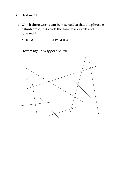11 Which three words can be inserted so that the phrase is palindromic, ie it reads the same backwards and forwards?

A DOG! . . . . . . . . A PAGODA

12 How many lines appear below?

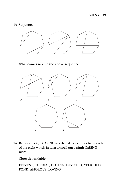#### 13 Sequence



What comes next in the above sequence?



14 Below are eight CARING words. Take one letter from each of the eight words in turn to spell out a ninth CARING word.

Clue: dependable

FERVENT, CORDIAL, DOTING, DEVOTED, ATTACHED, FOND, AMOROUS, LOVING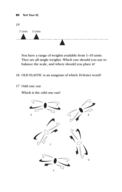15



You have a range of weights available from 1–10 units. They are all single weights. Which one should you use to balance the scale, and where should you place it?

- 16 OLD ELASTIC is an anagram of which 10-letter word?
- 17 Odd one out

Which is the odd one out?

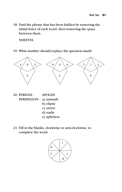18 Find the phrase that has been hidden by removing the initial letter of each word, then removing the space between them.

NHEEVEL

19 What number should replace the question mark?



20 PERIGEE : APOGEE PERIHELION : a) azimuth b) eliptic c) orrery d) nadir e) aphelion

21 Fill in the blanks, clockwise or anti-clockwise, to complete the word.

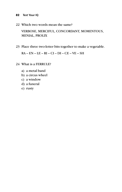- **82 Test Your IQ**
- 22 Which two words mean the same?

VERBOSE, MERCIFUL, CONCORDANT, MOMENTOUS, MENIAL, PROLIX

23 Place three two-letter bits together to make a vegetable.

 $RA - EN - LE - RI - CI - DI - CE - VE - SH$ 

- 24 What is a FERRULE?
	- a) a metal band
	- b) a circus wheel
	- c) a window
	- d) a funeral
	- e) rusty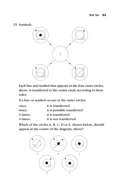



Each line and symbol that appears in the four outer circles, above, is transferred to the centre circle according to these rules:

if a line or symbol occurs in the outer circles:

| once:             | it is transferred          |
|-------------------|----------------------------|
| twice:            | it is possibly transferred |
| 3 times:          | it is transferred          |
| $4 \times$ times: | it is not transferred.     |
|                   |                            |

Which of the circles A, B, C, D or E, shown below, should appear at the centre of the diagram, above?

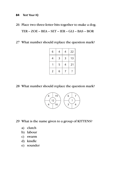- 26 Place two three-letter bits together to make a dog. TER – ZOE – BEA – SET – IER – GLI – BAS – BOR
- 27 What number should replace the question mark?

| 6 | 4 | 4 | 22 |
|---|---|---|----|
| 4 | 3 | 3 | 13 |
|   | 5 | 4 | 21 |
| 2 | 6 | 7 | 7  |

28 What number should replace the question mark?



- 29 What is the name given to a group of KITTENS?
	- a) clutch
	- b) labour
	- c) swarm
	- d) kindle
	- e) sounder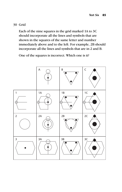#### 30 Grid

Each of the nine squares in the grid marked 1A to 3C should incorporate all the lines and symbols that are shown in the squares of the same letter and number immediately above and to the left. For example, 2B should incorporate all the lines and symbols that are in 2 and B.

One of the squares is incorrect. Which one is it?

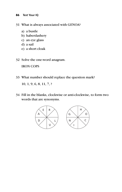- 31 What is always associated with GENOA?
	- a) a bustle
	- b) haberdashery
	- c) an eye glass
	- d) a sail
	- e) a short cloak
- 32 Solve the one-word anagram.

IRON COPS

33 What number should replace the question mark?

10, 1, 9, 6, 8, 11, 7, ?

34 Fill in the blanks, clockwise or anti-clockwise, to form two words that are synonyms.

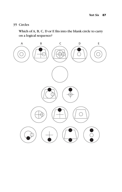#### 35 Circles

Which of A, B, C, D or E fits into the blank circle to carry on a logical sequence?

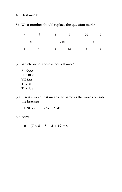#### **88 Test Your IQ**

#### 36 What number should replace the question mark?



37 Which one of these is not a flower?

ALEZAA **SUCROC** VILSAA **TEVOIL TRYLUS** 

38 Insert a word that means the same as the words outside the brackets.

STINGY ( . . . . ) AVERAGE

39 Solve:

 $-6 + (7 \times 8) - 3 \div 2 + 19 = x$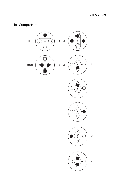# 40 Comparison

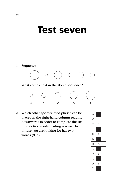# Test seven

#### 1 Sequence



What comes next in the above sequence?



2 Which other sport-related phrase can be placed in the right-hand column reading downwards in order to complete the six three-letter words reading across? The phrase you are looking for has two words (8, 4).

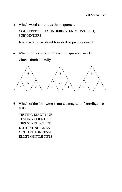3 Which word continues this sequence?

COUNTERFEIT, FLOUNDERING, ENCOUNTERED, **SUBJOINDERS** 

Is it: viscountess, dumbfounded or preannounce?

4 What number should replace the question mark?

Clue: think laterally



5 Which of the following is not an anagram of 'intelligence test'?

TESTING ELECT LINE TESTING CLIENTELE TIES GENTLE CLIENT LET TESTING CLIENT GET LITTLE INCENSE ELICIT GENTLE NETS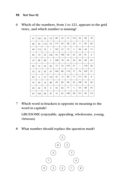#### **Test Your IQ**

6 Which of the numbers, from 1 to 121, appears in the grid twice, and which number is missing?

| 102 | 30  | 115 | 80  | 32  | 73  | 110 | 36  | 89  | 18  |
|-----|-----|-----|-----|-----|-----|-----|-----|-----|-----|
| 35  | 119 | 74  | 117 | 83  | 48  | 26  | 11  | 95  | 50  |
| 113 | 19  | 7   | 101 | 41  | 15  | 3   | 94  | 44  | 13  |
| 14  | 25  | 120 | 53  | 109 | 43  | 23  | 29  | 81  | 6   |
| 99  | 98  | 2   | 108 | 78  | 62  | 34  | 56  | 69  | 40  |
| 10  | 24  | 93  | 72  | 22  | 107 | 51  | 1   | 118 | 28  |
| 75  | 92  | 47  | 104 | 86  | 114 | 17  | 76  | 105 | 21  |
| 4   | 27  | 116 | 52  | 12  | 84  | 71  | 111 | 63  | 8   |
| 59  | 16  | 68  | 39  | 66  | 96  | 25  | 100 | 70  | 38  |
| 42  | 79  | 9   | 55  | 64  | 77  | 5   | 54  | 88  | 45  |
| 103 | 46  | 97  | 31  | 87  | 106 | 58  | 121 | 65  | 112 |
|     |     |     |     |     |     |     |     |     |     |

7 Which word in brackets is opposite in meaning to the word in capitals?

GRUESOME (enjoyable, appealing, wholesome, young, virtuous)

8 What number should replace the question mark?

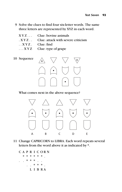- 9 Solve the clues to find four six-letter words. The same three letters are represented by XYZ in each word.
	- X Y Z . . . Clue: bovine animals<br>X Y Z . . Clue: attack with seve
	- Clue: attack with severe criticism
	- . . X Y Z . Clue: find
	- $\ldots$  X Y Z Clue: type of grape



What comes next in the above sequence?



11 Change CAPRICORN to LIBRA. Each word repeats several letters from the word above it as indicated by \*.

C A P R I C ORN \*\*\*\*\*\*. . .\*\*\*. . . . \*\*\*. L I B RA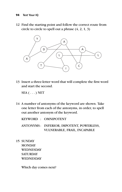12 Find the starting point and follow the correct route from circle to circle to spell out a phrase (4, 2, 1, 3)



13 Insert a three-letter word that will complete the first word and start the second.

 $SEA$  (  $\ldots$  ) NET

14 A number of antonyms of the keyword are shown. Take one letter from each of the antonyms, in order, to spell out another antonym of the keyword.

KEYWORD : OMNIPOTENT ANTONYMS: INFERIOR, IMPOTENT, POWERLESS, VULNERABLE, FRAIL, INCAPABLE

15 SUNDAY **MONDAY** WEDNESDAY **SATURDAY WEDNESDAY** 

Which day comes next?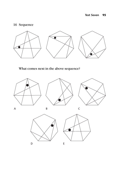# 16 Sequence



# What comes next in the above sequence?









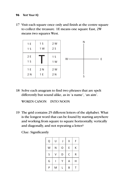17 Visit each square once only and finish at the centre square to collect the treasure. 1E means one square East, 2W means two squares West.



18 Solve each anagram to find two phrases that are spelt differently but sound alike, as in 'a name', 'an aim'.

WOKEN CANON INTO NOON

19 The grid contains 25 different letters of the alphabet. What is the longest word that can be found by starting anywhere and working from square to square horizontally, vertically and diagonally, and not repeating a letter?

Clue: Significantly

| Q | U | J | X | F |
|---|---|---|---|---|
| W | N | O | E | K |
| S | V | D | C | R |
| G |   | Υ | A | H |
| Ρ | M | L | B | Т |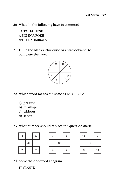20 What do the following have in common?

TOTAL ECLIPSE A PIG IN A POKE WHITE ADMIRALS

21 Fill in the blanks, clockwise or anti-clockwise, to complete the word.



- 22 Which word means the same as ESOTERIC?
	- a) pristine
	- b) misshapen
	- c) gibbous
	- d) secret

#### 23 What number should replace the question mark?



24 Solve the one-word anagram.

IT CLAW'D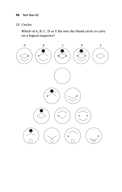#### 25 Circles

Which of A, B, C, D or E fits into the blank circle to carry on a logical sequence?

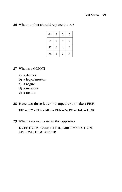#### 26 What number should replace the  $\times$  ?

| 64 | 8 | 2 | 6 |
|----|---|---|---|
| 21 | 7 |   | 2 |
| 30 | 5 |   | 5 |
| 24 | 4 | 2 | X |

- 27 What is a GIGOT?
	- a) a dancer
	- b) a leg of mutton
	- c) a rogue
	- d) a measure
	- e) a ravine
- 28 Place two three-letter bits together to make a FISH.

KIP – ICY – PLA – MIN – PEN – NOW – HAD – DOK

29 Which two words mean the opposite?

LICENTIOUS, CARP, FITFUL, CIRCUMSPECTION, APPROVE, DEMEANOUR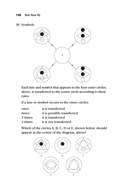



Each line and symbol that appears in the four outer circles, above, is transferred to the centre circle according to these rules:

if a line or symbol occurs in the outer circles:

| once:             | it is transferred          |
|-------------------|----------------------------|
| twice:            | it is possibly transferred |
| 3 times:          | it is transferred          |
| $4 \times$ times: | it is not transferred.     |

Which of the circles A, B, C, D or E, shown below, should appear at the centre of the diagram, above?

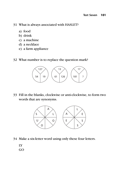- 31 What is always associated with HASLET?
	- a) food
	- b) drink
	- c) a machine
	- d) a necklace
	- e) a farm appliance
- 32 What number is to replace the question mark?



33 Fill in the blanks, clockwise or anti-clockwise, to form two words that are synonyms.



- 34 Make a six-letter word using only these four letters.
	- $I\mathbf{Y}$

GO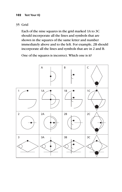#### 35 Grid

Each of the nine squares in the grid marked 1A to 3C should incorporate all the lines and symbols that are shown in the squares of the same letter and number immediately above and to the left. For example, 2B should incorporate all the lines and symbols that are in 2 and B.

One of the squares is incorrect. Which one is it?

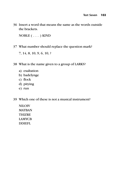36 Insert a word that means the same as the words outside the brackets.

NOBLE ( . . . . ) KIND

37 What number should replace the question mark?

7, 14, 8, 10, 9, 6, 10, ?

- 38 What is the name given to a group of LARKS?
	- a) exaltation
	- b) badelynge
	- c) flock
	- d) pitying
	- e) run
- 39 Which one of these is not a musical instrument?
	- NILOIV MATBAN **THIZRE** LAMYCB DDIEFL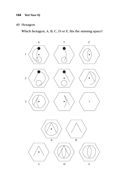#### 40 Hexagon

Which hexagon, A, B, C, D or E, fits the missing space?

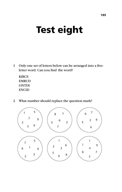# Test eight

1 Only one set of letters below can be arranged into a fiveletter word. Can you find the word?

**KIRCE** EMRUD ONTDI ENCID

2 What number should replace the question mark?

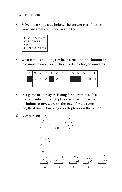3 Solve the cryptic clue below. The answer is a 10-letter word anagram contained within the clue.



4 What famous building can be inserted into the bottom line to complete nine three-letter words reading downwards?

| $T  O W  E  R  O  F  L  O N  D  O N$ |  |                                 |            |  |  |  |
|--------------------------------------|--|---------------------------------|------------|--|--|--|
| B                                    |  | $\blacksquare$ W $\blacksquare$ | $E \mid A$ |  |  |  |
|                                      |  |                                 |            |  |  |  |

- 5 In a game of 10 players lasting for 30 minutes, five reserves substitute each player, so that all players, including reserves, are on the pitch for the same length of time. How long is each player on the pitch?
- 6 Comparison

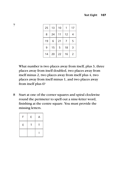| 25 | 13 | 10 |    | 17 |
|----|----|----|----|----|
| 8  | 24 | 11 | 12 | 4  |
| 19 | 6  | 21 | 7  | 5  |
| 9  | 15 | 5  | 18 | 3  |
| 14 | 20 | 22 | 16 | 2  |

What number is two places away from itself, plus 3, three places away from itself doubled, two places away from itself minus 2, two places away from itself plus 4, two places away from itself minus 1, and two places away from itself plus 6?

8 Start at one of the corner squares and spiral clockwise round the perimeter to spell out a nine-letter word, finishing at the centre square. You must provide the missing letters.

| F | E | A |
|---|---|---|
| E |   | т |
|   |   |   |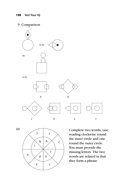#### 9 Comparison





Complete two words, one reading clockwise round the inner circle and one round the outer circle. You must provide the missing letters. The two words are related in that they form a phrase.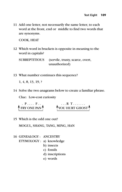11 Add one letter, not necessarily the same letter, to each word at the front, end or middle to find two words that are synonyms.

COOK, HEAT

12 Which word in brackets is opposite in meaning to the word in capitals?

SURREPTITIOUS (servile, trusty, scarce, overt, unauthorized)

13 What number continues this sequence?

1, 4, 8, 13, 19, ?

14 Solve the two anagrams below to create a familiar phrase.

Clue: Low-cost curiosity

. P . . . . F . . . . . R T . . . . . . . FRY ONE PAN **TEXALL TO A TYOU HURT GHOST** 

15 Which is the odd one out?

MOGUL, SHANG, TANG, MING, HAN

- 16 GENEALOGY : ANCESTRY ETYMOLOGY : a) knowledge
	- b) insects
	- c) fossils
	- d) inscriptions
	- e) words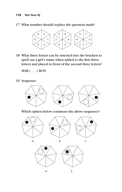#### **110 Test Your IQ**

#### 17 What number should replace the question mark?



18 What three letters can be inserted into the brackets to spell out a girl's name when added to the first three letters and placed in front of the second three letters?

 $MAR$  (...) RON

19 Sequence



Which option below continues the above sequence?

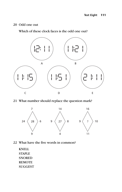#### 20 Odd one out

Which of these clock faces is the odd one out?



21 What number should replace the question mark?



22 What have the five words in common?

KNELL **STAPLE** SNORED **REMOTE SUGGEST**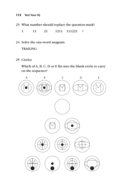- **112 Test Your IQ**
- 23 What number should replace the question mark?

1 11 21 1211 111221 ?

24 Solve the one-word anagram.

TRAILING

25 Circles

Which of A, B, C, D or E fits into the blank circle to carry on the sequence?

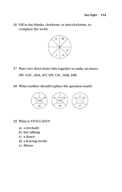26 Fill in the blanks, clockwise or anti-clockwise, to complete the word.



- 27 Place two three-letter bits together to make an insect. SPI, LOC, ADA, IST, SPI, CIC, DAR, DIR
- 28 What number should replace the question mark?



- 29 What is STOCCADO?
	- a) a stockade
	- b) fast talking
	- c) a dance
	- d) a fencing stroke
	- e) illness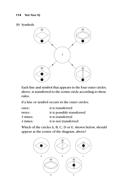

Each line and symbol that appears in the four outer circles, above, is transferred to the centre circle according to these rules:

if a line or symbol occurs in the outer circles:

| once:             | it is transferred          |
|-------------------|----------------------------|
| twice:            | it is possibly transferred |
| 3 times:          | it is transferred          |
| $4 \times$ times: | it is not transferred.     |
|                   |                            |

Which of the circles A, B, C, D or E, shown below, should appear at the centre of the diagram, above?

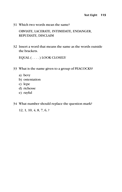31 Which two words mean the same?

OBVIATE, LACERATE, INTIMIDATE, ENDANGER, REPUDIATE, DISCLAIM

32 Insert a word that means the same as the words outside the brackets.

EQUAL ( . . . . ) LOOK CLOSELY

- 33 What is the name given to a group of PEACOCKS?
	- a) bevy
	- b) ostentation
	- c) lepe
	- d) richesse
	- e) rayful
- 34 What number should replace the question mark?

12, 1, 10, 4, 8, 7, 6, ?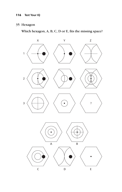#### 35 Hexagon

Which hexagon, A, B, C, D or E, fits the missing space?

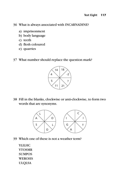36 What is always associated with INCARNADINE?

- a) imprisonment
- b) body language
- c) teeth
- d) flesh coloured
- e) quarries
- 37 What number should replace the question mark?



38 Fill in the blanks, clockwise or anti-clockwise, to form two words that are synonyms.



39 Which one of these is not a weather term?

YLILHC YTOSMR **SUMPOS WEROHS** ULQLSA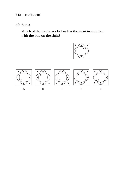#### **118 Test Your IQ**

#### 40 Boxes

Which of the five boxes below has the most in common with the box on the right?

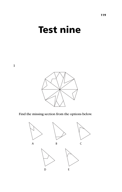## Test nine



Find the missing section from the options below.

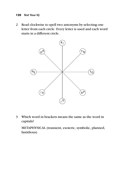2 Read clockwise to spell two antonyms by selecting one letter from each circle. Every letter is used and each word starts in a different circle.



3 Which word in brackets means the same as the word in capitals?

METAPHYSICAL (transient, esoteric, symbolic, planned, fastidious)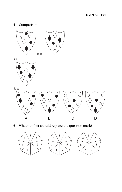#### 4 Comparison











5 What number should replace the question mark?

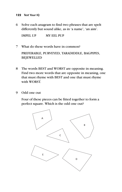**122 Test Your IQ**

6 Solve each anagram to find two phrases that are spelt differently but sound alike, as in 'a name', 'an aim'.

IMPEL UP MY EEL PUP

- 7 What do these words have in common? PREFERABLE, PURVEYED, TARADIDDLE, BAGPIPES, BEJEWELLED
- 8 The words BEST and WORST are opposite in meaning. Find two more words that are opposite in meaning, one that must rhyme with BEST and one that must rhyme with WORST
- 9 Odd one out

Four of these pieces can be fitted together to form a perfect square. Which is the odd one out?

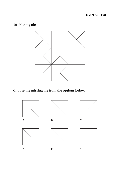### 10 Missing tile



Choose the missing tile from the options below.

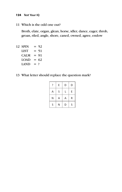#### **124 Test Your IQ**

#### 11 Which is the odd one out?

Broth, elate, organ, glean, horse, idler, dance, eager, throb, groan, riled, angle, shore, caned, owned, agree, endow

12 SPIN  $= 52$  $LIST = 51$  $CALM = 91$  $LOAD = 62$  $LAND = ?$ 

#### 13 What letter should replace the question mark?

| ? | E | D | D |
|---|---|---|---|
| Α | S | L | E |
| N | Α | Α | R |
| S | N | D | S |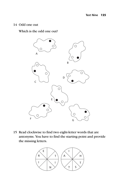#### 14 Odd one out

Which is the odd one out?



15 Read clockwise to find two eight-letter words that are antonyms. You have to find the starting point and provide the missing letters.

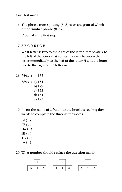16 The phrase train-spotting (5–8) is an anagram of which other familiar phrase (8–5)?

Clue: take the first step

17 A B C D E F G H

What letter is two to the right of the letter immediately to the left of the letter that comes mid-way between the letter immediately to the left of the letter H and the letter two to the right of the letter A?

```
18 7461 : 135
6893 : a) 151
       b) 179
       c) 152
       d)161
       e) 125
```
- 19 Insert the name of a fruit into the brackets reading downwards to complete the three-letter words.
	- $BI(.)$ LE $( . )$  $HA(.)$  $HI( . )$ TO  $(.)$  $FA(.)$

#### 20 What number should replace the question mark?

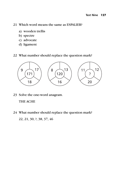- 21 Which word means the same as ESPALIER?
	- a) wooden trellis
	- b) spectre
	- c) advocate
	- d) ligament

#### 22 What number should replace the question mark?



23 Solve the one-word anagram.

#### THE ACHE

24 What number should replace the question mark? 22, 21, 30, ?, 38, 37, 46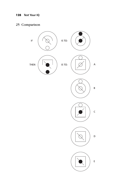### 25 Comparison

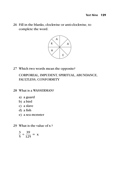26 Fill in the blanks, clockwise or anti-clockwise, to complete the word.



27 Which two words mean the opposite?

CORPOREAL, IMPUDENT, SPIRITUAL, ABUNDANCE, FAULTLESS, CONFORMITY

28 What is a WASSERMAN?

- a) a guard
- b) a bird
- c) a slave
- d) a fish
- e) a sea monster
- 29 What is the value of x ?

$$
\frac{3}{5} \div \frac{39}{125} = x
$$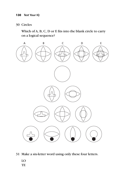#### 30 Circles

Which of A, B, C, D or E fits into the blank circle to carry on a logical sequence?



- 31 Make a six-letter word using only these four letters.
	- LO **TE**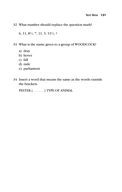#### 32 What number should replace the question mark?

6, 11, 8½, 7, 11, 3, 13½, ?

#### 33 What is the name given to a group of WOODCOCK?

- a) dray
- b) hover
- c) fall
- d) nide
- e) parliament
- 34 Insert a word that means the same as the words outside the brackets.

PESTER ( . . . . . . ) TYPE OF ANIMAL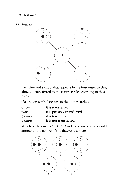#### 35 Symbols



Each line and symbol that appears in the four outer circles, above, is transferred to the centre circle according to these rules:

if a line or symbol occurs in the outer circles:

| once:    | it is transferred          |
|----------|----------------------------|
| twice:   | it is possibly transferred |
| 3 times: | it is transferred          |
| 4 times: | it is not transferred.     |
|          |                            |

Which of the circles A, B, C, D or E, shown below, should appear at the centre of the diagram, above?

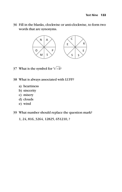36 Fill in the blanks, clockwise or anti-clockwise, to form two words that are synonyms.



- 37 What is the symbol for  $\sqrt{-1}$ ?
- 38 What is always associated with LUFF?
	- a) heartiness
	- b) sincerity
	- c) misery
	- d) clouds
	- e) wind
- 39 What number should replace the question mark?
	- 1, 24, 816, 3264, 12825, 651210, ?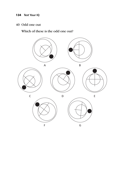#### 40 Odd one out

Which of these is the odd one out?

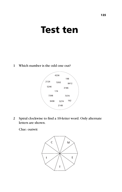## Test ten

#### 1 Which number is the odd one out?



2 Spiral clockwise to find a 10-letter word. Only alternate letters are shown.

Clue: outwit

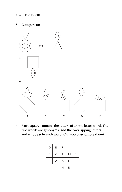#### 3 Comparison



4 Each square contains the letters of a nine-letter word. The two words are synonyms, and the overlapping letters T and A appear in each word. Can you unscramble them?

| D | E | R |   |   |
|---|---|---|---|---|
| E | C | т | M | E |
|   | Α | Α | L |   |
|   |   | N | E |   |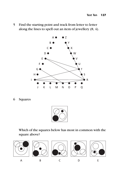5 Find the starting point and track from letter to letter along the lines to spell out an item of jewellery (8, 4).



6 Squares



Which of the squares below has most in common with the square above?





 $\sf B$ 







 $\overline{\mathsf{A}}$ 

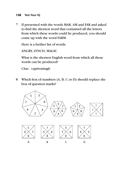7 If presented with the words MAR, AM and FAR and asked to find the shortest word that contained all the letters from which these words could be produced, you should come up with the word FARM.

Here is a further list of words:

ANGRY, LYNCH, MAGIC

What is the shortest English word from which all these words can be produced?

Clue: captivatingly

8 Which box of numbers (A, B, C or D) should replace the box of question marks?

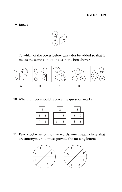9 Boxes



To which of the boxes below can a dot be added so that it meets the same conditions as in the box above?



10 What number should replace the question mark?

|   |   | 2 |  |  | ∍  |  |  |   |  |   |
|---|---|---|--|--|----|--|--|---|--|---|
| 2 | 8 |   |  |  | .5 |  |  |   |  |   |
| ⊿ | q |   |  |  |    |  |  | 8 |  | 8 |

11 Read clockwise to find two words, one in each circle, that are antonyms. You must provide the missing letters.

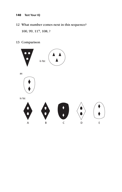12 What number comes next in this sequence? 100, 99, 117, 108, ?

### 13 Comparison

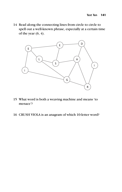14 Read along the connecting lines from circle to circle to spell out a well-known phrase, especially at a certain time of the year  $(6, 4)$ .



- 15 What word is both a weaving machine and means 'to menace'?
- 16 CRUSH VIOLA is an anagram of which 10-letter word?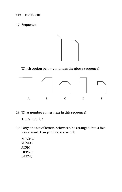17 Sequence



### Which option below continues the above sequence?



- 18 What number comes next in this sequence?
	- 1, 1.5, 2.5, 4, ?
- 19 Only one set of letters below can be arranged into a fiveletter word. Can you find the word?

MUCHO WINFO ALPIC DEPNU **BRENU**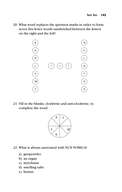20 What word replaces the question marks in order to form seven five-letter words sandwiched between the letters on the right and the left?



21 Fill in the blanks, clockwise and anti-clockwise, to complete the word.



- 22 What is always associated with NUX VOMICA?
	- a) gunpowder
	- b) an organ
	- c) strychnine
	- d) smelling salts
	- e) hymns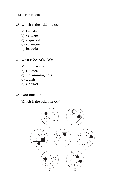#### 23 Which is the odd one out?

- a) ballista
- b) ventage
- c) arquebus
- d) claymore
- e) bazooka

### 24 What is ZAPATEADO?

- a) a moustache
- b) a dance
- c) a drumming noise
- d) a dish
- e) a flower
- 25 Odd one out

Which is the odd one out?

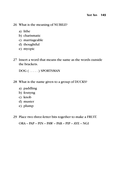26 What is the meaning of NUBILE?

- a) lithe
- b) charismatic
- c) marriageable
- d) thoughtful
- e) myopic
- 27 Insert a word that means the same as the words outside the brackets.

DOG ( . . . . . ) SPORTSMAN

- 28 What is the name given to a group of DUCKS?
	- a) paddling
	- b) fesnyng
	- c) knob
	- d) muster
	- e) plump
- 29 Place two three-letter bits together to make a FRUIT.

ORA – PAP – PIN – PAW – PAR – PIP – AYE – NGI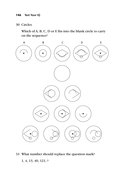#### 30 Circles

Which of A, B, C, D or E fits into the blank circle to carry on the sequence?



31 What number should replace the question mark? 1, 4, 13, 40, 121, ?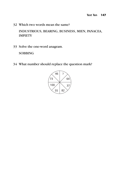32 Which two words mean the same?

INDUSTRIOUS, BEARING, BUSINESS, MIEN, PANACEA, IMPIETY

33 Solve the one-word anagram.

**SOBBING** 

34 What number should replace the question mark?

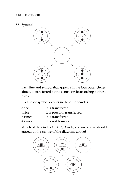

Each line and symbol that appears in the four outer circles, above, is transferred to the centre circle according to these rules:

if a line or symbol occurs in the outer circles:

| once:    | it is transferred          |
|----------|----------------------------|
| twice:   | it is possibly transferred |
| 3 times: | it is transferred          |
| 4 times: | it is not transferred.     |
|          |                            |

Which of the circles A, B, C, D or E, shown below, should appear at the centre of the diagram, above?

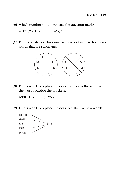36 Which number should replace the question mark?

4, 12, 7½, 10½, 11, 9, 14½, ?

37 Fill in the blanks, clockwise or anti-clockwise, to form two words that are synonyms.



38 Find a word to replace the dots that means the same as the words outside the brackets.

WEIGHT ( . . . . . ) LYNX

39 Find a word to replace the dots to make five new words.

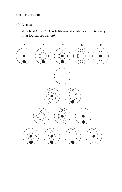### 40 Circles

Which of A, B, C, D or E fits into the blank circle to carry on a logical sequence?

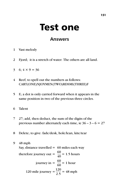## Test one

- 1 Vast melody
- 2 Fjord; it is a stretch of water. The others are all land.
- $3 \quad 6: 4 \times 9 = 36$
- 4 Reef; to spell out the numbers as follows: CART(ONE)NJOYMEN(TWO)RDSMI(THREE)F
- 5 E; a dot is only carried forward when it appears in the same position in two of the previous three circles.
- 6 Talent
- 7 27; add, then deduct, the sum of the digits of the previous number alternately each time, ie  $36 - 3 - 6 = 27$
- 8 Delete; to give: fade/desk, hole/lean, kite/tear
- 9 48 mph Say, distance travelled =  $60$  miles each way therefore journey out =  $\frac{60}{40}$  = 1.5 hours journey in =  $\frac{60}{60}$  = 1 hour 120 mile journey =  $\frac{120}{2.5}$  = 48 mph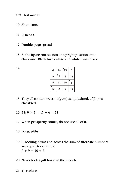- **152 Test Your IQ**
- 10 Abundance
- 11 c) across

14

- 12 Double-page spread
- 13 A; the figure rotates into an upright position anticlockwise. Black turns white and white turns black.

| 4  | 14 | 15 |        |  |
|----|----|----|--------|--|
| 9  |    | 6  | 12     |  |
| 5  | 11 | 10 | ٠<br>8 |  |
| 16 | 2  | 3  | 13     |  |

- 15 They all contain trees: le(gum)es, qu(ash)ed, af(fir)ms, cl(oak)ed
- $16\ 51$ ;  $9 \times 5 = 45 + 6 = 51$
- 17 When prosperity comes, do not use all of it.
- 18 Long, pithy
- 19 0; looking down and across the sum of alternate numbers are equal, for example  $7 + 9 = 10 + 6$
- 20 Never look a gift horse in the mouth.
- 21 a) recluse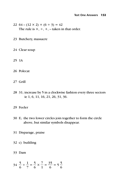- 22  $64 (12 \times 2) + (6 \div 3) = 42$ The rule is  $\times$ ,  $\div$ ,  $+$ ,  $-$  taken in that order.
- 23 Butchery, massacre
- 24 Clear soup
- 25 1A
- 26 Polecat
- 27 Grill
- 28 31; increase by 5 in a clockwise fashion every three sectors ie 1, 6, 11, 16, 21, 26, 31, 36.
- 29 Feeler
- 30 E; the two lower circles join together to form the circle above, but similar symbols disappear.
- 31 Disparage, praise
- 32 c) building
- 33 Dam

$$
34\frac{5}{6} \div \frac{1}{7} = \frac{5}{6} \times \frac{7}{1} = \frac{35}{6} = 5\frac{5}{6}
$$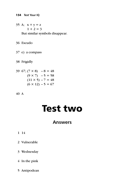- 35 A;  $x + y = z$  $1 + 2 = 3$ But similar symbols disappear.
- 36 Escudo
- 37 e) a compass
- 38 Frigidly

39 67; 
$$
(7 \times 8)
$$
 -8 = 48  
\n $(9 \times 7)$  -5 = 58  
\n $(11 \times 5)$  -7 = 48  
\n $(6 \times 12)$  -5 = 67

40 A

## Test two

- 1 14
- 2 Vulnerable
- 3 Wednesday
- 4 In the pink
- 5 Antipodean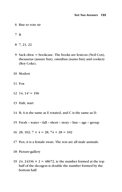6 Rise to vote sir

- 8 7, 21, 22
- 9 Sack oboe = bookcase. The books are lexicon (Neil Cox), thesaurus (assure hut), omnibus (sumo bin) and cookery (Roy Coke).
- 10 Modest
- 11 Fox
- 12  $14:14^2=196$
- 13 Halt, start
- 14 B; A is the same as E rotated, and C is the same as D.
- 15 Fresh water fall short story line age group
- 16 28, 102;  $7 \times 4 = 28$ ,  $74 + 28 = 102$
- 17 Pen; it is a female swan. The rest are all male animals.
- 18 Picture-gallery
- 19 24; 24336  $\times$  2 = 48672, ie the number formed at the top half of the decagon is double the number formed by the bottom half.

<sup>7</sup> B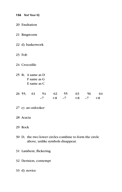|           | 156 Test Your IQ                 |             |  |                                                                                            |  |  |
|-----------|----------------------------------|-------------|--|--------------------------------------------------------------------------------------------|--|--|
|           | 20 Exultation                    |             |  |                                                                                            |  |  |
|           | 21 Ringworm                      |             |  |                                                                                            |  |  |
|           | 22 d) basketwork                 |             |  |                                                                                            |  |  |
| 23 Fob    |                                  |             |  |                                                                                            |  |  |
|           | 24 Crocodile                     |             |  |                                                                                            |  |  |
|           | 25 B; A same as D<br>F same as G | E same as C |  |                                                                                            |  |  |
|           |                                  |             |  | 26 55; 61 54 62 55 63 56 64<br>-7 +8 -7 +8 -7 +8                                           |  |  |
|           | 27 e) an onlooker                |             |  |                                                                                            |  |  |
| 28 Acacia |                                  |             |  |                                                                                            |  |  |
| 29 Rock   |                                  |             |  |                                                                                            |  |  |
|           |                                  |             |  | 30 D; the two lower circles combine to form the circle<br>above, unlike symbols disappear. |  |  |

- 31 Lambent, flickering
- 32 Derision, contempt
- 33 d) novice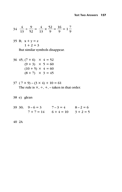$$
34 \quad \frac{4}{13} \div \frac{9}{52} = \frac{4}{13} \times \frac{52}{9} = \frac{16}{9} = 1\frac{7}{9}
$$

- 35 B;  $x + y = z$  $1 + 2 = 3$ But similar symbols disappear.
- 36 45;  $(7 + 6) \times 4 = 52$  $(9 + 3) \times 5 = 60$  $(10 + 5) \times 4 = 60$  $(8 + 7) \times 3 = 45$
- 37  $(7 \times 9) (3 \times 4) + 10 = 61$ The rule is  $\times$ ,  $\div$ ,  $+$ ,  $-$  taken in that order.
- 38 e) glean
- $39 \ 30; \quad 9-6=3 \qquad 7-3=4 \qquad 8-2=6$  $7 + 7 = 14$   $6 + 4 = 10$   $3 + 2 = 5$
- 40 2A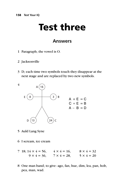# Test three

- 1 Paragraph; the vowel is O.
- 2 Jacksonville
- 3 D; each time two symbols touch they disappear at the next stage and are replaced by two new symbols.



- 5 Auld Lang Syne
- 6 I scream, ice cream
- 7 18;  $14 \times 4 = 56$ ,  $4 \times 4 = 16$ ,  $8 \times 4 = 32$ <br> $9 \times 4 = 36$ ,  $7 \times 4 = 28$ ,  $5 \times 4 = 20$  $9 \times 4 = 36, \quad 7 \times 4 = 28,$
- 8 One man band; to give: ago, fan, hue, dim, lea, pan, hob, pea, man, wad.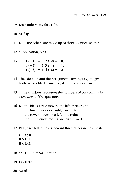- 9 Embroidery (my dire robe)
- 10 b) flag
- 11 E; all the others are made up of three identical shapes.

12 Supplication, plea

$$
13 -2; \ 1 (+1) = 2, \ 2 (-2) = 0, \n0 (+3) = 3, \ 3 (-4) = -1, \n-1 (+5) = 4, \ 4 (-6) = -2
$$

- 14 The Old Man and the Sea (Ernest Hemingway); to give: hothead, scolded, romance, slander, dithery, roseate
- 15 4; the numbers represent the numbers of consonants in each word of the question.
- 16 E; the black circle moves one left, three right; the line moves one right, three left; the tower moves two left, one right; the white circle moves one right, two left.
- 17 RUE; each letter moves forward three places in the alphabet:

**O** P Q **R R** S T **U B** C D **E**

- $18\,45: 13 \times 4 = 52 7 = 45$
- 19 Lax/lacks
- 20 Avoid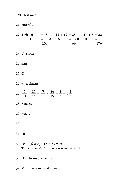**160 Test Your IQ**

21 Horrific

22 176; 
$$
6 + 7 = 13
$$
  
\n $10 - 2 = 8 \times 6 - 3 = 3 \times 10 - 2 = 8 \times 10$   
\n $10 + 12 = 23$   
\n $17 + 5 = 22$   
\n $10 - 2 = 8 \times 10 - 2 = 8 \times 10$ 

$$
23 c) stone
$$

24 Pan

- 25 C
- 26 a) a charm
- $27 \frac{1}{1}$ 5  $\frac{5}{1} \div \frac{1}{4}$ 4 5  $\frac{2}{4} = \frac{1}{1}$ 5  $\frac{5}{1} \times \frac{4}{1}$ 1 4  $\frac{4}{5} = \frac{4}{3}$  $\frac{4}{3} = 1\frac{1}{3}$ 3 -
- 28 Magpie
- 29 Fizgig
- 30 E
- 31 Hail
- 32  $-8 + (6 \times 8) (2 \times 5) = 30$ The rule is  $\times$ ,  $\div$ ,  $+$ ,  $-$  taken in that order.

#### 33 Handsome, pleasing

34 a) a mathematical term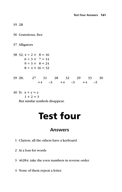35 2B

36 Gratuitous, free

37 Alligators

38 32;  $4 \div 2 \times 8 = 16$  $6 \div 3 \times 7 = 14$  $9 \div 3 \times 8 = 24$  $8 \div 4 \times 16 = 32$ 

39 28; 27 31 28 32 29 33 30  $+4$   $-3$   $+4$   $-3$   $+4$   $-3$ 

40 D; 
$$
x + y = z
$$
  
1 + 2 = 3  
But sinilax x = b = 4 is a x = 2

But similar symbols disappear.

# Test four

- 1 Clarion; all the others have a keyboard.
- 2 At a loss for words
- 3 46284; take the even numbers in reverse order.
- 4 None of them repeat a letter.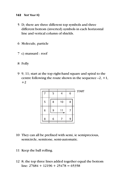#### **162 Test Your IQ**

- 5 D; there are three different top symbols and three different bottom (inverted) symbols in each horizontal line and vertical column of shields.
- 6 Molecule, particle
- 7 c) mansard : roof
- 8 Folly
- 9 9, 11; start at the top right-hand square and spiral to the centre following the route shown in the sequence  $-2$ ,  $+1$ ,  $+2$

|   |   |    |   | <b>START</b> |
|---|---|----|---|--------------|
| 7 | 5 | Λ  | 6 |              |
|   |   |    |   |              |
|   |   |    |   |              |
| 5 | 8 | 10 | 8 |              |
|   |   |    |   |              |
|   |   |    |   |              |
| 6 | 9 | 11 | 7 |              |
|   |   |    |   |              |
|   |   |    |   |              |
| 8 | 6 |    | 9 |              |
|   |   |    |   |              |
|   |   |    |   |              |

- 10 They can all be prefixed with semi, ie semiprecious, semicircle, semitone, semi-automatic.
- 11 Keep the ball rolling.
- 12 8; the top three lines added together equal the bottom line:  $27684 + 12196 + 25478 = 65358$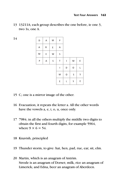| D | Α | M | P                        |         |              |         |
|---|---|---|--------------------------|---------|--------------|---------|
| A | R | E | A                        |         |              |         |
| M | E | W | $\mathsf S$              |         |              |         |
| P | A | S | T                        | Ī       | $\mathsf{M}$ | E       |
|   |   |   | $\overline{\phantom{a}}$ | D       | $\circ$      | L       |
|   |   |   | M                        | $\circ$ | $\sf S$      | $\sf S$ |
|   |   |   | E                        | Г       | S            | E       |

13 13211A; each group describes the one before, ie one 3, two 1s, one A.

- 15 C; one is a mirror image of the other.
- 16 Evacuation; it repeats the letter a. All the other words have the vowels a, e, i, o, u, once only.
- 17 7984; in all the others multiply the middle two digits to obtain the first and fourth digits, for example 5964, where  $9 \times 6 = 54$ .
- 18 Knavish, principled

14

- 19 Thunder storm, to give: hat, hen, pad, rue, ear, sit, elm.
- 20 Martin, which is an anagram of Antrim. Strode is an anagram of Dorset; milk, rice an anagram of Limerick; and Edna, beer an anagram of Aberdeen.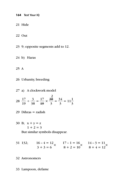- 21 Hide
- 22 Out
- 23 9; opposite segments add to 12.
- 24 b) Haras
- 25 A
- 26 Urbanity, breeding
- 27 a) A clockwork model

$$
28\ \frac{17}{19} \div \frac{3}{38} = \frac{17}{49} \times \frac{2}{39} = \frac{34}{3} = 11\frac{1}{3}
$$

- 29 Dihras = radish
- 30 B;  $x + y = z$  $1 + 2 = 3$

But similar symbols disappear.

- 31 132;  $16-4 = 12 \times 17-1 = 16 \times 14-3 = 11 \times 3 + 3 = 6 \times 8 + 2 = 10^{\times} 8 + 4 = 12^{\times}$
- 32 Astronomers
- 33 Lampoon, defame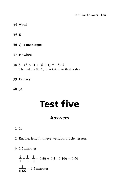- 34 Wind
- 35 E
- 36 c) a messenger
- 37 Pinwheel
- 38  $3 (6 \times 7) + (6 \div 4) = -37\frac{1}{2}$ The rule is  $\times$ ,  $\div$ ,  $+$ ,  $-$  taken in that order
- 39 Donkey
- 40 3A

# Test five

- 1 14
- 2 Enable, length, thieve, vendor, oracle, lessen.
- 3 1.5 minutes

$$
\frac{1}{3} + \frac{1}{2} - \frac{1}{6} = 0.33 + 0.5 - 0.166 = 0.66
$$
  

$$
\frac{1}{0.66} = 1.5 \text{ minutes}
$$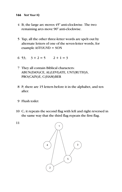- 4 B; the large arc moves 45° anti-clockwise. The two remaining arcs move 90° anti-clockwise.
- 5 Tap; all the other three-letter words are spelt out by alternate letters of one of the seven-letter words, for example A*S*T*O*U*N*D = SON
- $6\quad 53$ :  $3 + 2 = 5$   $2 + 1 = 3$
- 7 They all contain Biblical characters: ABUN(DAN)CE, AL(LEVI)ATE, UNT(RUTH)S, PRO(CAIN)E, C(HAM)BER
- 8 P; there are 15 letters before it in the alphabet, and ten after.
- 9 Flush toilet

11

10 C; it repeats the second flag with left and right reversed in the same way that the third flag repeats the first flag.

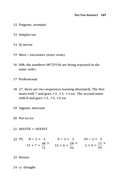- 12 Fragrant, aromatic
- 13 Simpler tax
- 14 d) invent
- 15 Meet encounter (truce none)
- 16 698; the numbers 98725136 are being repeated in the same order.
- 17 Professional
- 18 27; there are two sequences running alternately. The first starts with 7 and goes  $+2$ ,  $+3$ ,  $+4$  etc. The second starts with 8 and goes  $+2$ ,  $+4$ ,  $+6$  etc.
- 19 Vagrant, itinerant
- 20 Put on ice
- 21 XESTTE = SEXTET
- 22 55;  $8 \div 2 = 4$   $9 \div 3 = 3$   $10 \div 2 = 5$  $11 + 7 = \frac{1}{7}$ 7 8  $\frac{8}{2}$  × 12 + 6 =  $\frac{1}{5}$ 5 8  $\frac{8}{4}$  × 2 + 9 =  $\frac{1}{5}$ 5 1  $\frac{1}{5}$   $\times$
- 23 Picture
- 24 c) draught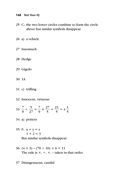#### **168 Test Your IQ**

- 25 C; the two lower circles combine to form the circle above but similar symbols disappear.
- 26 a) a vehicle
- 27 Insomuch
- 28 Hedge
- 29 Gigolo
- 30 1A
- 31 c) trifling
- 32 Innocent, virtuous
- 33  $\frac{7}{9}$  $\frac{2}{9} \div \frac{2}{2}$ 5  $\frac{5}{7} = \frac{7}{9}$  $\frac{7}{9} \times \frac{2}{9}$ 5  $\frac{7}{2} = \frac{2}{3}$ 5  $\frac{1}{2}$  = 4 $\frac{1}{4}$ 5 -
- 34 a) pottery
- 35 F;  $x + y = z$  $1 + 2 = 3$ But similar symbols disappear.
- 36  $(4 \times 3) (70 \div 10) + 6 = 11$ The rule is  $\times$ ,  $\div$ ,  $+$ ,  $-$  taken in that order.
- 37 Disingenuous, candid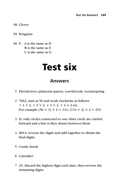38 Clover

39 Penguins

40 F; A is the same as D B is the same as E C is the same as G

## Test six

- 1 Fluvial/river, psittacine/parrot, corvid/rook, vernal/spring.
- 2 7662; start at 56 and work clockwise as follows:  $+ 1 \times 2, + 2 \times 2, + 3 \times 2, + 4 \times 2$  etc. For example  $(56 + 1) \times 2 = 114$ ,  $(114 + 2) \times 2 = 232$
- 3 D; only circles connected to one other circle are carried forward and a line is then drawn between them.
- 4 6814; reverse the digits and add together to obtain the final digits.
- 5 Crush, break
- 6 Caretaker
- 7 23; discard the highest digit each time, then reverse the remaining digits.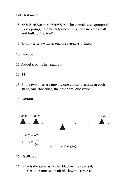- 8 MOMS HOUR = MUSHROOM. The animals are: springbok (brisk pong), chipmunk (punch Kim), leopard (red opal) and buffalo (fab foul)
- 9 R; only letters with an enclosed area as printed.
- 10 Lineage
- 11 A dog! A panic in a pagoda.
- 12 11
- 13 E; the two lines are moving one corner at a time at each stage, one clockwise, the other anti-clockwise.

### 14 Faithful

#### 15



### 16 Oscillated

17 B; A is the same as D with black/white reversal; C is the same as E with black/white reversal.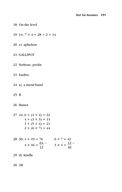#### **Test Six Answers 171**

- 18 On the level
- 19 14;  $7 \times 4 = 28 \div 2 = 14$
- 20 e) aphelion
- 21 GALLIPOT
- 22 Verbose, prolix
- 23 Endive
- 24 a) a metal band
- 25 B
- 26 Basset
- 27  $44$ ;  $6 + (4 \times 4) = 22$  $4 + (3 \times 3) = 13$  $1 + (5 \times 4) = 21$  $2 + (6 \times 7) = 44$
- 28 30;  $4 \times 19 = 76$  6  $\times 7 = 42$  $4 \times 16 = \frac{6}{1}$ 1 4  $\frac{4}{2}$  3 x 4 =  $\frac{1}{3}$ 3 2  $\frac{2}{0}$
- 29 d) kindle

30 3B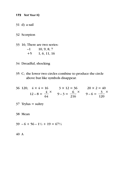- 31 d) a sail
- 32 Scorpion
- 33 16; There are two series:  $-1$  10, 9, 8, 7
	- $+5$  1, 6, 11, 16
- 34 Dreadful, shocking
- 35 C; the lower two circles combine to produce the circle above but like symbols disappear.

36 120; 
$$
4 \times 4 = 16
$$
  
\n $12 - 8 = \frac{4}{64} \times 9 - 3 = \frac{6}{216} \times 9 - 6 = \frac{3}{120} \times 2 = 40$ 

 $37$  Trylus = sultry

- 38 Mean
- $39 6 + 56 1\frac{1}{2} + 19 = 67\frac{1}{2}$

40 A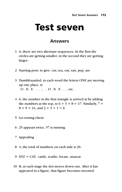# Test seven

- 1 A; there are two alternate sequences. In the first the circles are getting smaller, in the second they are getting larger.
- 2 Starting post; to give: cut, tea, oat, ran, pep, ass
- 3 Dumbfounded; in each word the letters ONE are moving up one place, ie . O . N . E . . . . ., . . O . N . E . . . . etc.
- 4 6; the number in the first triangle is arrived at by adding the numbers at the top, ie  $6 + 3 + 8 = 17$ . Similarly,  $7 +$  $8 + 9 = 24$ , and  $2 + 3 + 1 = 6$
- 5 Let testing client
- 6 25 appears twice, 57 is missing
- 7 Appealing
- 8 4; the total of numbers on each side is 26.
- 9 XYZ = CAT; cattle, scathe, locate, muscat
- 10 B; at each stage the dot moves down one. After it has appeared in a figure, that figure becomes inverted.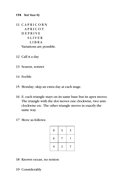- 11 CAPRICORN A P R I C O T D E P R I V E **SLIVER** L I B R A Variations are possible.
- 12 Call it a day
- 13 Season, sonnet
- 14 Feeble
- 15 Monday; skip an extra day at each stage.
- 16 E; each triangle stays on its same base but its apex moves. The triangle with the dot moves one clockwise, two anticlockwise etc. The other triangle moves in exactly the same way.
- 17 Move as follows:

| 8 | 5 | 3 |
|---|---|---|
| 6 |   |   |
| 4 | 2 |   |

- 18 Known ocean, no notion
- 19 Considerably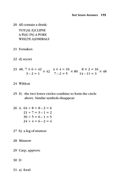- 20 All contain a drink: TOT(AL E)CLIPSE A PI(G IN) A POKE WHI(TE A)DMIRALS
- 21 Forsaken
- 22 d) secret

23 48; 
$$
7 \times 6 = 42
$$
  $\times$  42 4  $\times$  4 = 16  $\times$  80 8  $\times$  2 = 16  $\times$  48   
3-2 = 1 7-2 = 5 80 14-11 = 3

- 24 Wildcat
- 25 D; the two lower circles combine to form the circle above. Similar symbols disappear.
- 26 4;  $64 \div 8 = 8 2 = 6$  $21 \div 7 = 3 - 1 = 2$  $30 \div 5 = 6 - 1 = 5$  $24 \div 4 = 6 - 2 = 4$
- 27 b) a leg of mutton
- 28 Minnow
- 29 Carp, approve
- 30 D
- 31 a) food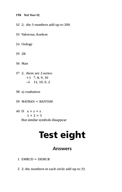- **176 Test Your IQ**
- 32 2; the 3 numbers add up to 200.
- 33 Valorous, fearless
- 34 Oology
- 35 2B
- 36 Man
- 37 2; there are 2 series: +1 7, 8, 9, 10  $-4$  14, 10, 6, 2
- 38 a) exaltation
- 39 MATBAN = BANTAM
- 40 D  $x + y = z$  $1 + 2 = 3$ But similar symbols disappear

## Test eight

### **Answers**

- $1$  EMRUD = DEMUR
- 2 2; the numbers in each circle add up to 33.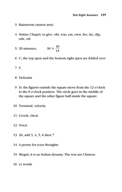- 3 Rainstorm (minor arts)
- 4 Sistine Chapel; to give: obi, was, eat, own, fee, lac, dip, ode, nil.
- $5\,20$  minutes;  $\frac{1}{1}$ 1  $\overline{0}$ 5 -
- 6 C; the top apex and the bottom right apex are folded over

- 8 Defeatist
- 9 D; the figures outside the square move from the 12 o'clock to the 9 o'clock position. The circle goes in the middle of the square and the other figure half inside the square.
- 10 Terminal, velocity
- 11 Crook, cheat
- 12 Overt
- 13 26; add 3, 4, 5, 6 then 7
- 14 A penny for your thoughts
- 15 Mogul; it is an Indian dynasty. The rest are Chinese.
- 16 e) words

<sup>7 5</sup>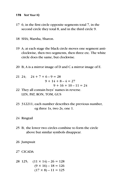- 17 6; in the first circle opposite segments total 7, in the second circle they total 8, and in the third circle 9.
- 18 SHA; Marsha, Sharon.
- 19 A; at each stage the black circle moves one segment anticlockwise, then two segments, then three etc. The white circle does the same, but clockwise.
- 20 B; A is a mirror image of D and C a mirror image of E.
- 21 24;  $24 + 7 + 6 9 = 28$  $9 + 14 + 8 - 4 = 27$  $9 + 16 + 10 - 11 = 24$
- 22 They all contain boys' names in reverse. LEN, PAT, RON, TOM, GUS
- 23 312211; each number describes the previous number, eg three 1s, two 2s, one 1.

#### 24 Ringtail

- 25 B; the lower two circles combine to form the circle above but similar symbols disappear.
- 26 Jumpsuit
- 27 CICADA

28 125; 
$$
(11 \times 14) - 26 = 128
$$
  
(9 × 16) – 18 = 126  
(17 × 8) – 11 = 125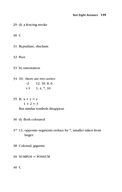- 29 d) a fencing stroke
- 30 C
- 31 Repudiate, disclaim
- 32 Peer
- 33 b) ostentation
- 34 10; there are two series:  $-2$  12, 10, 8, 6  $+3$  1, 4, 7, 10
- 35 B;  $x + y = z$  $1 + 2 = 3$ But similar symbols disappear.
- 36 d) flesh coloured
- 37 11; opposite segments reduce by 7, smaller taken from larger.
- 38 Colossal, gigantic
- 39 SUMPOS = POSSUM
- 40 C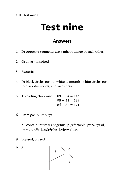# Test nine

## **Answers**

- 1 D; opposite segments are a mirror-image of each other.
- 2 Ordinary, inspired
- 3 Esoteric
- 4 D; black circles turn to white diamonds; white circles turn to black diamonds, and vice versa.
- 5 1; reading clockwise  $89 + 54 = 143$  $98 + 31 = 129$  $84 + 87 = 171$
- 6 Plum pie, plump eye
- 7 All contain internal anagrams; p(refer)able, purv(eye)d, tara(did)dle, bag(pip)es, bej(ewe)lled.
- 8 Blessed, cursed
- 9 A;

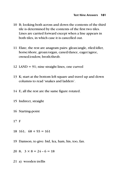- 10 B; looking both across and down the contents of the third tile is determined by the contents of the first two tiles. Lines are carried forward except when a line appears in both tiles, in which case it is cancelled out.
- 11 Elate; the rest are anagram pairs: glean/angle, riled/idler, horse/shore, groan/organ, caned/dance, eager/agree, owned/endow, broth/throb.
- 12 LAND =  $91$ ; nine straight lines, one curved
- 13 K; start at the bottom left square and travel up and down columns to read 'snakes and ladders'.
- 14 E; all the rest are the same figure rotated.
- 15 Indirect, straight
- 16 Starting-point
- 17 F
- 18 161;  $68 + 93 = 161$
- 19 Damson; to give: bid, lea, ham, his, too, fan.
- 20 8;  $3 \times 8 = 24 6 = 18$
- 21 a) wooden trellis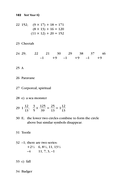22 152; 
$$
(9 \times 17) + 18 = 171
$$
  
\n $(8 \times 13) + 16 = 120$   
\n $(11 \times 12) + 20 = 152$ 

- 23 Cheetah
- 24 29; 22 21 30 29 38 37 46  $-1$   $+9$   $-1$   $+9$   $-1$   $+9$
- 25 A
- 26 Paravane
- 27 Corporeal, spiritual
- 28 e) a sea monster
- 29 1 $\frac{1}{1}$ 1 2  $rac{2}{3}$ ;  $rac{3}{5}$  $\frac{3}{5} \times \frac{12}{3}$ 3 2 9  $\frac{25}{0} = \frac{2}{1}$ 1 5  $\frac{5}{3} = 1\frac{1}{1}$ 1 2 3 -
- 30 E; the lower two circles combine to form the circle above but similar symbols disappear.

#### 31 Tootle

- 32 –1; there are two series:  $+2\frac{1}{2}$  6, 8<sup>1</sup>/<sub>2</sub>, 11, 13<sup>1</sup>/<sub>2</sub>  $-4$  11, 7, 3, -1
- 33 c) fall
- 34 Badger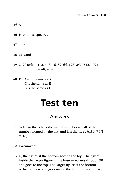- 35 A
- 36 Phantoms, spectres
- 37 i or j
- 38 e) wind
- 39 2420484; 1, 2, 4, 8, 16, 32, 64, 128, 256, 512, 1024, 2048, 4096
- 40 F; A is the same as G C is the same as E B is the same as D

## Test ten

### **Answers**

- 1 5246; in the others the middle number is half of the number formed by the first and last digits, eg 3186 (36/2  $= 18$ ).
- 2 Circumvent
- 3 C; the figure at the bottom goes to the top. The figure inside the larger figure at the bottom rotates through 90° and goes to the top. The larger figure at the bottom reduces in size and goes inside the figure now at the top.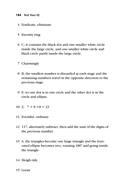- 4 Eradicate, eliminate
- 5 Eternity ring
- 6 C; it contains the black dot and one smaller white circle inside the large circle, and one smaller white circle and black circle partly inside the large circle.
- 7 Charmingly
- 8 B; the smallest number is discarded at each stage and the remaining numbers travel in the opposite direction to the previous stage.
- 9 E; so one dot is in one circle and the other dot is in the circle and ellipse.
- 10 2;  $7 + 8 + 8 = 23$
- 11 Eventful, ordinary
- 12 117; alternately subtract, then add the sum of the digits of the previous number.
- 13 A; the triangles become one large triangle and the truncated ellipse becomes two, rotating 180° and going inside the triangle.
- 14 Sleigh ride
- 15 Loom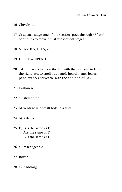- 16 Chivalrous
- 17 C; at each stage one of the sections goes through 45° and continues to move 45° at subsequent stages.
- 18 6; add 0.5, 1, 1.5, 2
- 19 DEPNU = UPEND
- 20 Take the top circle on the left with the bottom circle on the right, etc, to spell out beard, heard, heart, learn, pearl, weary and yearn, with the addition of EAR.
- 21 Cashmere
- 22 c) strychnine
- 23 b) ventage  $=$  a small hole in a flute.
- 24 b) a dance
- 25 E; B is the same as F A is the same as D C is the same as G
- 26 c) marriageable
- 27 Boxer
- 28 a) paddling